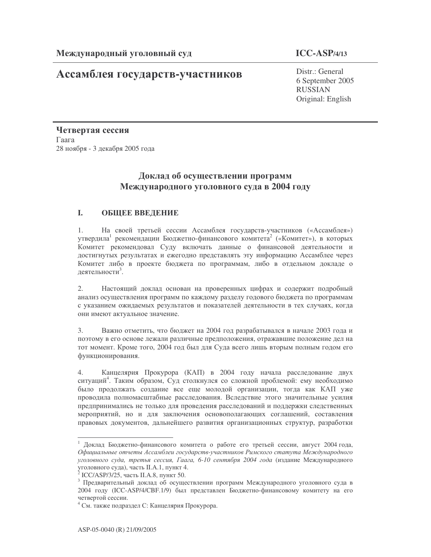# Ассамблея государств-участников

# $ICC-ASP/4/13$

Distr.: General 6 September 2005 **RUSSIAN** Original: English

Четвертая сессия Гаага 28 ноября - 3 декабря 2005 года

# Доклад об осуществлении программ Международного уголовного суда в 2004 году

#### I. ОБЩЕЕ ВВЕДЕНИЕ

 $1<sub>1</sub>$ На своей третьей сессии Ассамблея государств-участников («Ассамблея») утвердила<sup>1</sup> рекомендации Бюджетно-финансового комитета<sup>2</sup> («Комитет»), в которых Комитет рекомендовал Суду включать данные о финансовой деятельности и достигнутых результатах и ежегодно представлять эту информацию Ассамблее через Комитет либо в проекте бюджета по программам, либо в отдельном докладе о леятельности<sup>3</sup>.

 $2.$ Настоящий доклад основан на проверенных цифрах и содержит подробный анализ осуществления программ по каждому разделу годового бюджета по программам с указанием ожидаемых результатов и показателей деятельности в тех случаях, когда они имеют актуальное значение.

3. Важно отметить, что бюджет на 2004 год разрабатывался в начале 2003 года и поэтому в его основе лежали различные предположения, отражавшие положение дел на тот момент. Кроме того, 2004 год был для Суда всего лишь вторым полным годом его функционирования.

Канцелярия Прокурора (КАП) в 2004 году начала расследование двух  $\overline{4}$ ситуаций<sup>4</sup>. Таким образом, Суд столкнулся со сложной проблемой: ему необходимо было продолжать создание все еще молодой организации, тогда как КАП уже проводила полномасштабные расследования. Вследствие этого значительные усилия предпринимались не только для проведения расследований и поддержки следственных мероприятий, но и для заключения основополагающих соглашений, составления правовых документов, дальнейшего развития организационных структур, разработки

<sup>1</sup> Доклад Бюджетно-финансового комитета о работе его третьей сессии, август 2004 года, Официальные отчеты Ассамблеи государств-участников Римского статута Международного уголовного суда, третья сессия, Гаага, 6-10 сентября 2004 года (издание Международного уголовного суда), часть II.А.1, пункт 4.

 $2^{2}$  ICC/ASP/3/25, часть II.A.8, пункт 50.

<sup>3</sup> Предварительный доклад об осуществлении программ Международного уголовного суда в 2004 году (ICC-ASP/4/CBF.1/9) был представлен Бюджетно-финансовому комитету на его четвертой сессии.

<sup>&</sup>lt;sup>4</sup> См. также подраздел С: Канцелярия Прокурора.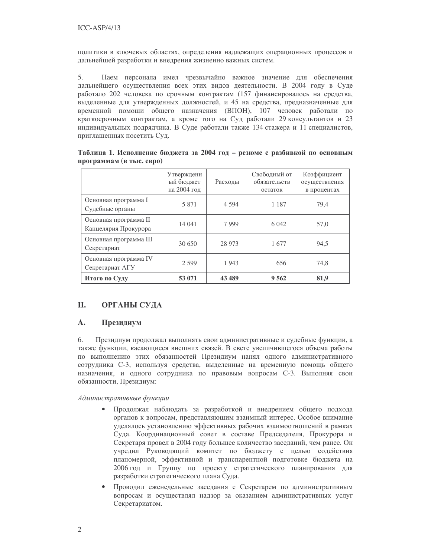политики в ключевых областях, определения надлежащих операционных процессов и дальнейшей разработки и внедрения жизненно важных систем.

5. Наем персонала имел чрезвычайно важное значение для обеспечения дальнейшего осуществления всех этих видов деятельности. В 2004 году в Суде работало 202 человека по срочным контрактам (157 финансировалось на средства, выделенные для утвержденных должностей, и 45 на средства, предназначенные для временной помощи общего назначения (ВПОН), 107 человек работали по краткосрочным контрактам, а кроме того на Суд работали 29 консультантов и 23 индивидуальных подрядчика. В Суде работали также 134 стажера и 11 специалистов, приглашенных посетить Суд.

|                                               | Утвержденн<br>ый бюлжет<br>на 2004 год | Расходы | Свободный от<br>обязательств<br>остаток | Коэффициент<br>осуществления<br>в процентах |
|-----------------------------------------------|----------------------------------------|---------|-----------------------------------------|---------------------------------------------|
| Основная программа I<br>Судебные органы       | 5 8 7 1                                | 4 5 9 4 | 1 1 8 7                                 | 79,4                                        |
| Основная программа II<br>Канцелярия Прокурора | 14 041                                 | 7999    | 6 0 4 2                                 | 57,0                                        |
| Основная программа III<br>Секретариат         | 30 650                                 | 28 973  | 1677                                    | 94,5                                        |
| Основная программа IV<br>Секретариат АГУ      | 2 5 9 9                                | 1943    | 656                                     | 74,8                                        |
| Итого по Суду                                 | 53 071                                 | 43 489  | 9 5 6 2                                 | 81,9                                        |

Таблица 1. Исполнение бюджета за 2004 год - резюме с разбивкой по основным программам (в тыс. евро)

#### **II. ОРГАНЫ СУДА**

#### $\mathbf{A}$ . Президиум

6. Президиум продолжал выполнять свои административные и судебные функции, а также функции, касающиеся внешних связей. В свете увеличившегося объема работы по выполнению этих обязанностей Президиум нанял одного административного сотрудника С-3, используя средства, выделенные на временную помощь общего назначения, и одного сотрудника по правовым вопросам С-3. Выполняя свои обязанности, Президиум:

Административные функции

- Продолжал наблюдать за разработкой и внедрением общего подхода органов к вопросам, представляющим взаимный интерес. Особое внимание уделялось установлению эффективных рабочих взаимоотношений в рамках Сула. Координационный совет в составе Предселателя. Прокурора и Секретаря провел в 2004 году большее количество заседаний, чем ранее. Он учредил Руководящий комитет по бюджету с целью содействия планомерной, эффективной и транспарентной подготовке бюджета на 2006 год и Группу по проекту стратегического планирования для разработки стратегического плана Суда.
- Проводил еженедельные заседания с Секретарем по административным  $\bullet$ вопросам и осуществлял надзор за оказанием административных услуг Секретариатом.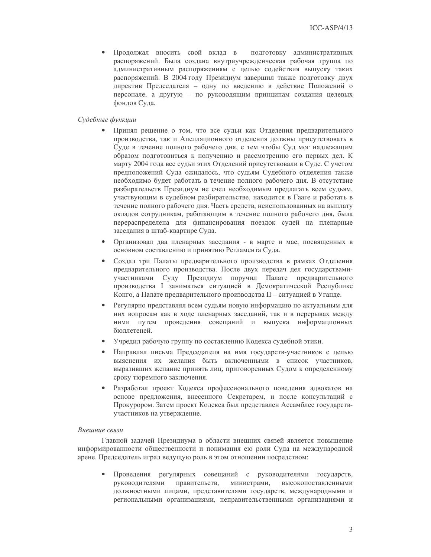$\bullet$ Продолжал вносить свой вклад в подготовку административных распоряжений. Была создана внутриучрежденческая рабочая группа по административным распоряжениям с целью содействия выпуску таких распоряжений. В 2004 году Президиум завершил также подготовку двух директив Председателя - одну по введению в действие Положений о персонале, а другую - по руководящим принципам создания целевых фондов Суда.

#### Судебные функции

- $\bullet$ Принял решение о том, что все судьи как Отделения предварительного производства, так и Апелляционного отделения должны присутствовать в Суде в течение полного рабочего дня, с тем чтобы Суд мог надлежащим образом подготовиться к получению и рассмотрению его первых дел. К марту 2004 года все судьи этих Отделений присутствовали в Суде. С учетом предположений Суда ожидалось, что судьям Судебного отделения также необходимо будет работать в течение полного рабочего дня. В отсутствие разбирательств Президиум не счел необходимым предлагать всем судьям, участвующим в судебном разбирательстве, находится в Гааге и работать в течение полного рабочего дня. Часть средств, неиспользованных на выплату окладов сотрудникам, работающим в течение полного рабочего дня, была перераспределена для финансирования поездок судей на пленарные заседания в штаб-квартире Суда.
- $\bullet$ Организовал два пленарных заседания - в марте и мае, посвященных в основном составлению и принятию Регламента Суда.
- Создал три Палаты предварительного производства в рамках Отделения предварительного производства. После двух передач дел государствамиучастниками Суду Президиум поручил Палате предварительного производства I заниматься ситуацией в Демократической Республике Конго, а Палате предварительного производства II - ситуацией в Уганде.
- Регулярно представлял всем судьям новую информацию по актуальным для них вопросам как в ходе пленарных заседаний, так и в перерывах между ними путем проведения совещаний и выпуска информационных бюллетеней.
- Учредил рабочую группу по составлению Кодекса судебной этики.
- Направлял письма Председателя на имя государств-участников с целью  $\bullet$ выяснения их желания быть включенными в список участников, выразивших желание принять лиц, приговоренных Судом к определенному сроку тюремного заключения.
- Разработал проект Колекса профессионального повеления алвокатов на основе предложения, внесенного Секретарем, и после консультаций с Прокурором. Затем проект Кодекса был представлен Ассамблее государствучастников на утверждение.

#### Внешние связи

Главной задачей Президиума в области внешних связей является повышение информированности общественности и понимания ею роли Суда на международной арене. Председатель играл ведущую роль в этом отношении посредством:

Проведения регулярных совещаний с руководителями государств, министрами, руководителями правительств, высокопоставленными должностными лицами, представителями государств, международными и региональными организациями, неправительственными организациями и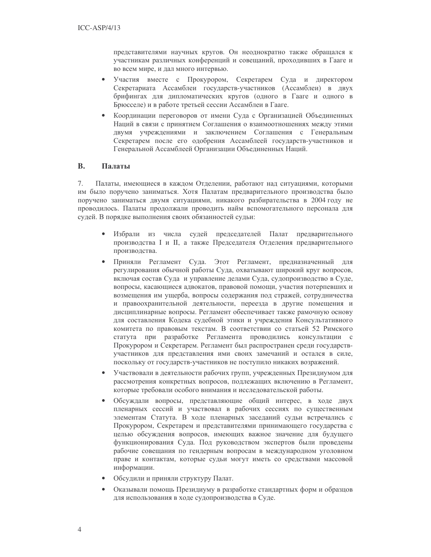представителями научных кругов. Он неоднократно также обращался к участникам различных конференций и совещаний, проходивших в Гааге и во всем мире, и дал много интервью.

- Участия вместе с Прокурором, Секретарем Суда и директором  $\bullet$ Секретариата Ассамблеи государств-участников (Ассамблеи) в двух брифингах для дипломатических кругов (одного в Гааге и одного в Брюсселе) и в работе третьей сессии Ассамблеи в Гааге.
- $\bullet$ Координации переговоров от имени Суда с Организацией Объединенных Наций в связи с принятием Соглашения о взаимоотношениях между этими двумя учреждениями и заключением Соглашения с Генеральным Секретарем после его одобрения Ассамблеей государств-участников и Генеральной Ассамблеей Организации Объединенных Наций.

#### $\mathbf{B}$ . Палаты

7. Палаты, имеющиеся в каждом Отделении, работают над ситуациями, которыми им было поручено заниматься. Хотя Палатам предварительного производства было поручено заниматься двумя ситуациями, никакого разбирательства в 2004 году не проводилось. Палаты продолжали проводить найм вспомогательного персонала для судей. В порядке выполнения своих обязанностей судьи:

- $\bullet$ Избрали из числа судей председателей Палат предварительного производства I и II, а также Председателя Отделения предварительного производства.
- Приняли Регламент Суда. Этот Регламент, предназначенный для  $\bullet$ регулирования обычной работы Суда, охватывают широкий круг вопросов, включая состав Суда и управление делами Суда, судопроизводство в Суде, вопросы, касающиеся адвокатов, правовой помощи, участия потерпевших и возмещения им ущерба, вопросы содержания под стражей, сотрудничества и правоохранительной деятельности, переезда в другие помещения и дисциплинарные вопросы. Регламент обеспечивает также рамочную основу для составления Кодека судебной этики и учреждения Консультативного комитета по правовым текстам. В соответствии со статьей 52 Римского статута при разработке Регламента проводились консультации с Прокурором и Секретарем. Регламент был распространен среди государствучастников для представления ими своих замечаний и остался в силе, поскольку от государств-участников не поступило никаких возражений.
- Участвовали в деятельности рабочих групп, учрежденных Президиумом для  $\bullet$ рассмотрения конкретных вопросов, подлежащих включению в Регламент, которые требовали особого внимания и исследовательской работы.
- Обсуждали вопросы, представляющие общий интерес, в ходе двух  $\bullet$ пленарных сессий и участвовал в рабочих сессиях по существенным элементам Статута. В ходе пленарных заседаний судьи встречались с Прокурором, Секретарем и представителями принимающего государства с целью обсуждения вопросов, имеющих важное значение для будущего функционирования Суда. Под руководством экспертов были проведены рабочие совещания по гендерным вопросам в международном уголовном праве и контактам, которые судьи могут иметь со средствами массовой информации.
- Обсудили и приняли структуру Палат.  $\bullet$
- Оказывали помощь Президиуму в разработке стандартных форм и образцов  $\bullet$ для использования в ходе судопроизводства в Суде.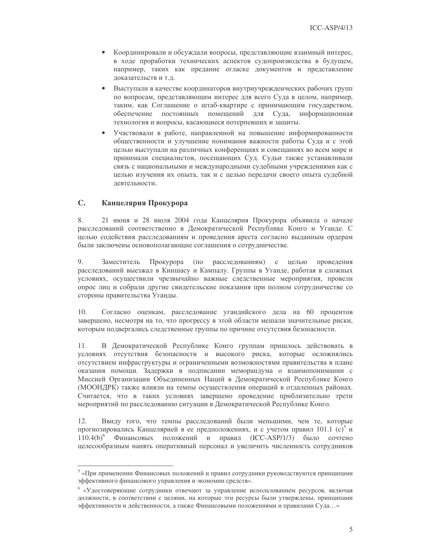- $\bullet$ Координировали и обсуждали вопросы, представляющие взаимный интерес, в ходе проработки технических аспектов судопроизводства в будущем, например, таких как предание огласке документов и представление доказательств и т.д.
- Выступали в качестве координаторов внутриучрежденческих рабочих групп  $\bullet$ по вопросам, представляющим интерес для всего Суда в целом, например, таким, как Соглашение о штаб-квартире с принимающим государством, обеспечение постоянных помещений для Суда, информационная технология и вопросы, касающиеся потерпевших и защиты.
- Участвовали в работе, направленной на повышение информированности  $\bullet$ общественности и улучшение понимания важности работы Суда и с этой целью выступали на различных конференциях и совещаниях во всем мире и принимали специалистов, посещающих Суд. Судьи также устанавливали связь с национальными и международными судебными учреждениями как с целью изучения их опыта, так и с целью передачи своего опыта судебной деятельности.

#### $\mathbf{C}$ . Канцелярия Прокурора

8. 21 июня и 28 июля 2004 года Канцелярия Прокурора объявила о начале расследований соответственно в Демократической Республике Конго и Уганде. С целью содействия расследованиям и проведения ареста согласно выданным ордерам были заключены основополагающие соглашения о сотрудничестве.

 $Q_{\perp}$ Заместитель Прокурора (по расследованиям) с целью проведения расследований выезжал в Киншасу и Кампалу. Группы в Уганде, работая в сложных условиях, осуществили чрезвычайно важные следственные мероприятия, провели опрос лиц и собрали другие свидетельские показания при полном сотрудничестве со стороны правительства Уганды.

 $10<sub>1</sub>$ Согласно оценкам, расследование угандийского дела на 60 процентов завершено, несмотря на то, что прогрессу в этой области мешали значительные риски, которым подвергались следственные группы по причине отсутствия безопасности.

В Демократической Республике Конго группам пришлось действовать в 11. условиях отсутствия безопасности и высокого риска, которые осложнялись отсутствием инфраструктуры и ограниченными возможностями правительства в плане оказания помощи. Задержки в подписании меморандума о взаимопонимании с Миссией Организации Объединенных Наций в Демократической Республике Конго (МООНДРК) также влияли на темпы осуществления операций в отдаленных районах. Считается, что в таких условиях завершено проведение приблизительно трети мероприятий по расследованию ситуации в Демократической Республике Конго.

Ввиду того, что темпы расследований были меньшими, чем те, которые 12. прогнозировались Канцелярией в ее предположениях, и с учетом правил 101.1 (с)<sup>5</sup> и Финансовых положений и правил (ICC-ASP/1/3) было сочтено  $110.4(b)^6$ целесообразным нанять оперативный персонал и увеличить численность сотрудников

<sup>&</sup>lt;sup>5</sup> «При применении Финансовых положений и правил сотрудники руководствуются принципами эффективного финансового управления и экономии средств».

<sup>&</sup>lt;sup>6</sup> «Удостоверяющие сотрудники отвечают за управление использованием ресурсов, включая должности, в соответствии с целями, на которые эти ресурсы были утверждены, принципами эффективности и действенности, а также Финансовыми положениями и правилами Суда...»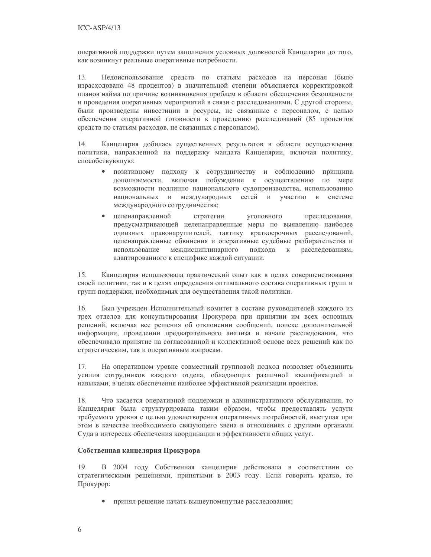оперативной поддержки путем заполнения условных должностей Канцелярии до того, как возникнут реальные оперативные потребности.

13. Недоиспользование средств по статьям расходов на персонал (было израсходовано 48 процентов) в значительной степени объясняется корректировкой планов найма по причине возникновения проблем в области обеспечения безопасности и проведения оперативных мероприятий в связи с расследованиями. С другой стороны, были произведены инвестиции в ресурсы, не связанные с персоналом, с целью обеспечения оперативной готовности к проведению расследований (85 процентов средств по статьям расходов, не связанных с персоналом).

14. Канцелярия добилась существенных результатов в области осуществления политики, направленной на поддержку мандата Канцелярии, включая политику, способствующую:

- позитивному подходу к сотрудничеству и соблюдению принципа  $\bullet$ дополняемости, включая побуждение к осуществлению по мере возможности подлинно национального судопроизводства, использованию национальных и международных сетей и участию в системе международного сотрудничества;
- $\bullet$ целенаправленной стратегии уголовного преследования, предусматривающей целенаправленные меры по выявлению наиболее одиозных правонарушителей, тактику краткосрочных расследований, целенаправленные обвинения и оперативные судебные разбирательства и использование междисциплинарного подхода  $\,$  K расследованиям, адаптированного к специфике каждой ситуации.

15. Канцелярия использовала практический опыт как в целях совершенствования своей политики, так и в целях определения оптимального состава оперативных групп и групп поддержки, необходимых для осуществления такой политики.

16. Был учрежден Исполнительный комитет в составе руководителей каждого из трех отделов для консультирования Прокурора при принятии им всех основных решений, включая все решения об отклонении сообщений, поиске дополнительной информации, проведении предварительного анализа и начале расследования, что обеспечивало принятие на согласованной и коллективной основе всех решений как по стратегическим, так и оперативным вопросам.

17. На оперативном уровне совместный групповой подход позволяет объединить усилия сотрудников каждого отдела, обладающих различной квалификацией и навыками, в целях обеспечения наиболее эффективной реализации проектов.

18. Что касается оперативной поддержки и административного обслуживания, то Канцелярия была структурирована таким образом, чтобы предоставлять услуги требуемого уровня с целью удовлетворения оперативных потребностей, выступая при этом в качестве необходимого связующего звена в отношениях с другими органами Суда в интересах обеспечения координации и эффективности общих услуг.

# Собственная канцелярия Прокурора

19. В 2004 году Собственная канцелярия действовала в соответствии со стратегическими решениями, принятыми в 2003 году. Если говорить кратко, то Прокурор:

- принял решение начать вышеупомянутые расследования;
- 6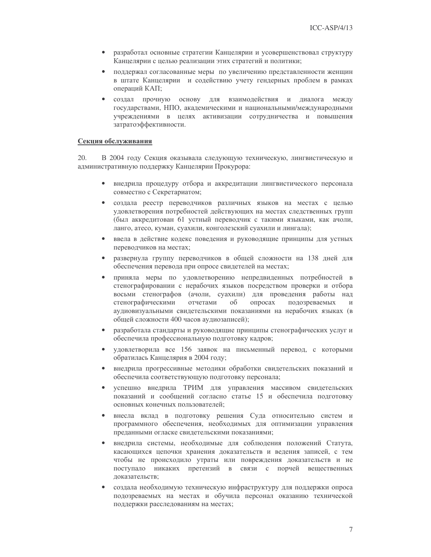- $\bullet$ разработал основные стратегии Канцелярии и усовершенствовал структуру Канцелярии с целью реализации этих стратегий и политики;
- поддержал согласованные меры по увеличению представленности женщин  $\bullet$ в штате Канцелярии и содействию учету гендерных проблем в рамках операций КАП;
- создал прочную основу для взаимодействия и диалога между  $\bullet$ государствами, НПО, академическими и национальными/международными учреждениями в целях активизации сотрудничества и повышения затратоэффективности.

## Секция обслуживания

20. В 2004 году Секция оказывала следующую техническую, лингвистическую и административную поддержку Канцелярии Прокурора:

- $\bullet$ внедрила процедуру отбора и аккредитации лингвистического персонала совместно с Секретариатом;
- создала реестр переводчиков различных языков на местах с целью удовлетворения потребностей действующих на местах следственных групп (был аккредитован 61 устный переводчик с такими языками, как ачоли, ланго, атесо, куман, суахили, конголезский суахили и лингала);
- $\bullet$ ввела в действие кодекс поведения и руководящие принципы для устных переводчиков на местах;
- развернула группу переводчиков в общей сложности на 138 дней для обеспечения перевода при опросе свидетелей на местах;
- $\bullet$ приняла меры по удовлетворению непредвиденных потребностей в стенографировании с нерабочих языков посредством проверки и отбора восьми стенографов (ачоли, суахили) для проведения работы над стенографическими отчетами об опросах подозреваемых аудиовизуальными свидетельскими показаниями на нерабочих языках (в общей сложности 400 часов аудиозаписей);
- $\bullet$ разработала стандарты и руководящие принципы стенографических услуг и обеспечила профессиональную подготовку кадров;
- удовлетворила все 156 заявок на письменный перевод, с которыми обратилась Канцелярия в 2004 году;
- внедрила прогрессивные методики обработки свидетельских показаний и  $\bullet$ обеспечила соответствующую подготовку персонала;
- успешно внедрила ТРИМ для управления массивом свидетельских  $\bullet$ показаний и сообщений согласно статье 15 и обеспечила подготовку основных конечных пользователей;
- внесла вклад в подготовку решения Суда относительно систем и  $\bullet$ программного обеспечения, необходимых для оптимизации управления преданными огласке свидетельскими показаниями;
- $\bullet$ внедрила системы, необходимые для соблюдения положений Статута, касающихся цепочки хранения доказательств и ведения записей, с тем чтобы не происходило утраты или повреждения доказательств и не поступало никаких претензий в связи с порчей вещественных доказательств;
- $\bullet$ создала необходимую техническую инфраструктуру для поддержки опроса подозреваемых на местах и обучила персонал оказанию технической поддержки расследованиям на местах;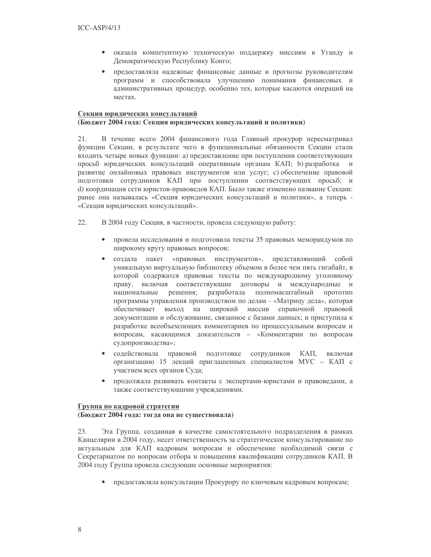- оказала компетентную техническую поддержку миссиям в Уганду и  $\bullet$ Демократическую Республику Конго;
- предоставляла надежные финансовые данные и прогнозы руководителям  $\bullet$ программ и способствовала улучшению понимания финансовых и административных процедур, особенно тех, которые касаются операций на местах.

## Секция юридических консультаций

#### (Бюджет 2004 года: Секция юридических консультаций и политики)

В течение всего 2004 финансового года Главный прокурор пересматривал 21. функции Секции, в результате чего в функциональные обязанности Секции стали входить четыре новых функции: а) предоставление при поступлении соответствующих просьб юридических консультаций оперативным органам КАП; b) разработка и развитие онлайновых правовых инструментов или услуг; с) обеспечение правовой подготовки сотрудников КАП при поступлении соответствующих просьб; и d) координация сети юристов-правоведов КАП. Было также изменено название Секции: ранее она называлась «Секция юридических консультаций и политики», а теперь -«Секция юридических консультаций».

- 22. В 2004 году Секция, в частности, провела следующую работу:
	- провела исследования и подготовила тексты 35 правовых меморандумов по широкому кругу правовых вопросов;
	- создала пакет «правовых инструментов», представляющий собой  $\bullet$ уникальную виртуальную библиотеку объемом в более чем пять гигабайт, в которой содержатся правовые тексты по международному уголовному праву, включая соответствующие договоры и международные и решения; разработала полномасштабный национальные прототип программы управления производством по делам - «Матрицу дела», которая обеспечивает выход на широкий массив справочной правовой документации и обслуживание, связанное с базами данных; и приступила к разработке всеобъемлющих комментариев по процессуальным вопросам и вопросам, касающимся доказательств - «Комментарии по вопросам судопроизводства»;
	- содействовала правовой подготовке сотрудников КАП, включая  $\bullet$ организацию 15 лекций приглашенных специалистов МУС - КАП с участием всех органов Суда;
	- $\bullet$ продолжала развивать контакты с экспертами-юристами и правоведами, а также соответствующими учреждениями.

#### Группа по кадровой стратегии

#### (Бюджет 2004 года: тогда она не существовала)

 $23$ Эта Группа, созданная в качестве самостоятельного подразделения в рамках Канцелярии в 2004 году, несет ответственность за стратегическое консультирование по актуальным для КАП кадровым вопросам и обеспечение необходимой связи с Секретариатом по вопросам отбора и повышения квалификации сотрудников КАП. В 2004 году Группа провела следующие основные мероприятия:

• предоставляла консультации Прокурору по ключевым кадровым вопросам;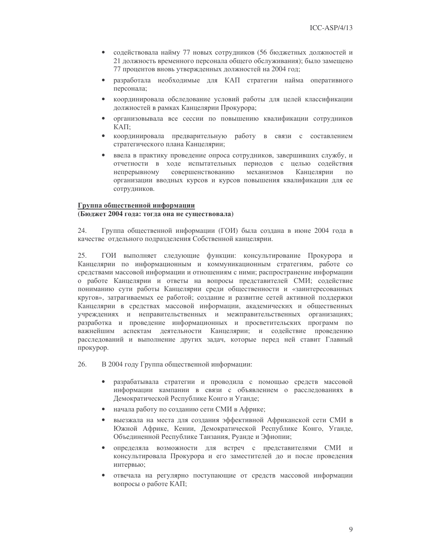- $\bullet$ содействовала найму 77 новых сотрудников (56 бюджетных должностей и 21 должность временного персонала общего обслуживания); было замещено 77 процентов вновь утвержденных должностей на 2004 год;
- разработала необходимые для КАП стратегии найма оперативного персонала;
- $\bullet$ координировала обследование условий работы для целей классификации должностей в рамках Канцелярии Прокурора;
- организовывала все сессии по повышению квалификации сотрудников  $\bullet$  $KATI$ :
- координировала предварительную работу в связи с составлением стратегического плана Канцелярии;
- ввела в практику проведение опроса сотрудников, завершивших службу, и  $\bullet$ отчетности в ходе испытательных периодов с целью содействия совершенствованию механизмов непрерывному Канцелярии  $\overline{10}$ организации вводных курсов и курсов повышения квалификации для ее сотрудников.

#### Группа общественной информации

### (Бюджет 2004 года: тогда она не существовала)

 $24$ Группа общественной информации (ГОИ) была создана в июне 2004 года в качестве отдельного подразделения Собственной канцелярии.

25. ГОИ выполняет следующие функции: консультирование Прокурора и Канцелярии по информационным и коммуникационным стратегиям, работе со средствами массовой информации и отношениям с ними; распространение информации о работе Канцелярии и ответы на вопросы представителей СМИ; содействие пониманию сути работы Канцелярии среди общественности и «заинтересованных кругов», затрагиваемых ее работой; создание и развитие сетей активной поддержки Канцелярии в средствах массовой информации, академических и общественных учреждениях и неправительственных и межправительственных организациях; разработка и проведение информационных и просветительских программ по важнейшим аспектам деятельности Канцелярии; и содействие проведению расследований и выполнение других задач, которые перед ней ставит Главный прокурор.

26. В 2004 году Группа общественной информации:

- разрабатывала стратегии и проводила с помощью средств массовой  $\bullet$ информации кампании в связи с объявлением о расследованиях в Демократической Республике Конго и Уганде;
- $\bullet$ начала работу по созданию сети СМИ в Африке;
- выезжала на места для создания эффективной Африканской сети СМИ в Южной Африке, Кении, Демократической Республике Конго, Уганде, Объединенной Республике Танзания, Руанде и Эфиопии;
- определяла возможности для встреч с представителями СМИ и консультировала Прокурора и его заместителей до и после проведения интервью;
- отвечала на регулярно поступающие от средств массовой информации вопросы о работе КАП;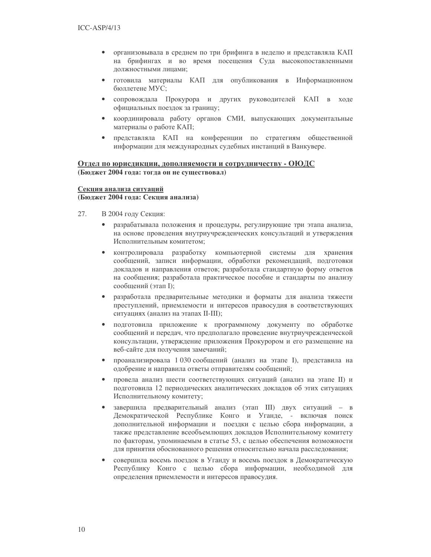- организовывала в среднем по три брифинга в неделю и представляла КАП  $\bullet$ на брифингах и во время посещения Суда высокопоставленными должностными лицами;
- готовила материалы КАП для опубликования в Информационном  $\bullet$ бюллетене МУС;
- сопровождала Прокурора и других руководителей КАП в ходе  $\bullet$ официальных поездок за границу;
- координировала работу органов СМИ, выпускающих документальные  $\bullet$ материалы о работе КАП;
- представляла КАП на конференции по стратегиям общественной  $\bullet$ информации для международных судебных инстанций в Ванкувере.

# Отдел по юрисдикции, дополняемости и сотрудничеству - ОЮДС (Бюджет 2004 года: тогда он не существовал)

### Секция анализа ситуаций (Бюджет 2004 года: Секция анализа)

- 27. В 2004 году Секция:
	- разрабатывала положения и процедуры, регулирующие три этапа анализа, на основе проведения внутриучрежденческих консультаций и утверждения Исполнительным комитетом:
	- $\bullet$ контролировала разработку компьютерной системы для хранения сообщений, записи информации, обработки рекомендаций, подготовки докладов и направления ответов; разработала стандартную форму ответов на сообщения; разработала практическое пособие и стандарты по анализу сообщений (этап I);
	- $\bullet$ разработала предварительные методики и форматы для анализа тяжести преступлений, приемлемости и интересов правосудия в соответствующих ситуациях (анализ на этапах II-III);
	- подготовила приложение к программному документу по обработке  $\bullet$ сообщений и передач, что предполагало проведение внутриучрежденческой консультации, утверждение приложения Прокурором и его размещение на веб-сайте для получения замечаний;
	- проанализировала 1 030 сообщений (анализ на этапе I), представила на  $\bullet$ одобрение и направила ответы отправителям сообщений;
	- $\bullet$ провела анализ шести соответствующих ситуаций (анализ на этапе II) и подготовила 12 периодических аналитических докладов об этих ситуациях Исполнительному комитету;
	- завершила предварительный анализ (этап III) двух ситуаций в  $\bullet$ Демократической Республике Конго и Уганде, - включая поиск дополнительной информации и поездки с целью сбора информации, а также представление всеобъемлющих докладов Исполнительному комитету по факторам, упоминаемым в статье 53, с целью обеспечения возможности для принятия обоснованного решения относительно начала расследования;
	- совершила восемь поездок в Уганду и восемь поездок в Демократическую  $\bullet$ Республику Конго с целью сбора информации, необходимой для определения приемлемости и интересов правосудия.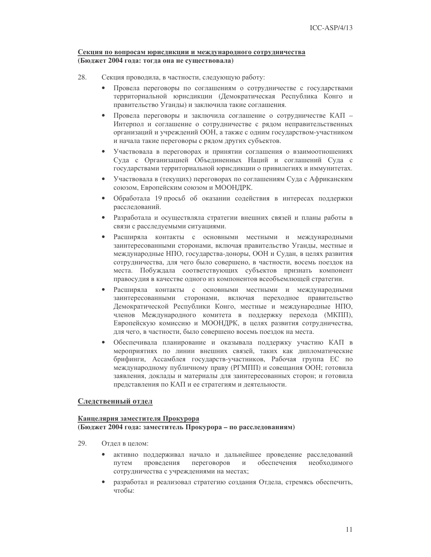# Секция по вопросам юрисдикции и международного сотрудничества (Бюджет 2004 года: тогда она не существовала)

- 28. Секция проводила, в частности, следующую работу:
	- $\bullet$ Провела переговоры по соглашениям о сотрудничестве с государствами территориальной юрисдикции (Демократическая Республика Конго и правительство Уганды) и заключила такие соглашения.
	- $\bullet$ Провела переговоры и заключила соглашение о сотрудничестве КАП -Интерпол и соглашение о сотрудничестве с рядом неправительственных организаций и учреждений ООН, а также с одним государством-участником и начала такие переговоры с рядом других субъектов.
	- Участвовала в переговорах и принятии соглашения о взаимоотношениях  $\bullet$ Суда с Организацией Объединенных Наций и соглашений Суда с государствами территориальной юрисдикции о привилегиях и иммунитетах.
	- $\bullet$ Участвовала в (текущих) переговорах по соглашениям Суда с Африканским союзом, Европейским союзом и МООНДРК.
	- Обработала 19 просьб об оказании содействия в интересах поддержки  $\bullet$ расследований.
	- Разработала и осуществляла стратегии внешних связей и планы работы в связи с расследуемыми ситуациями.
	- Расширяла контакты с основными местными и международными  $\bullet$ заинтересованными сторонами, включая правительство Уганды, местные и международные НПО, государства-доноры, ООН и Судан, в целях развития сотрудничества, для чего было совершено, в частности, восемь поездок на места. Побуждала соответствующих субъектов признать компонент правосудия в качестве одного из компонентов всеобъемлющей стратегии.
	- Расширяла контакты с основными местными и международными заинтересованными сторонами, включая переходное правительство Демократической Республики Конго, местные и международные НПО. членов Международного комитета в поддержку перехода (МКПП), Европейскую комиссию и МООНДРК, в целях развития сотрудничества, для чего, в частности, было совершено восемь поездок на места.
	- Обеспечивала планирование и оказывала поддержку участию КАП в мероприятиях по линии внешних связей, таких как дипломатические брифинги, Ассамблея государств-участников, Рабочая группа ЕС по международному публичному праву (РГМПП) и совещания ООН; готовила заявления, доклады и материалы для заинтересованных сторон; и готовила представления по КАП и ее стратегиям и деятельности.

# Следственный отдел

# Канцелярия заместителя Прокурора

(Бюджет 2004 года: заместитель Прокурора - по расследованиям)

- 29 Отлел в нелом:
	- активно поддерживал начало и дальнейшее проведение расследований путем проведения переговоров  $\mathbf{M}$ обеспечения необходимого сотрудничества с учреждениями на местах;
	- разработал и реализовал стратегию создания Отдела, стремясь обеспечить, чтобы: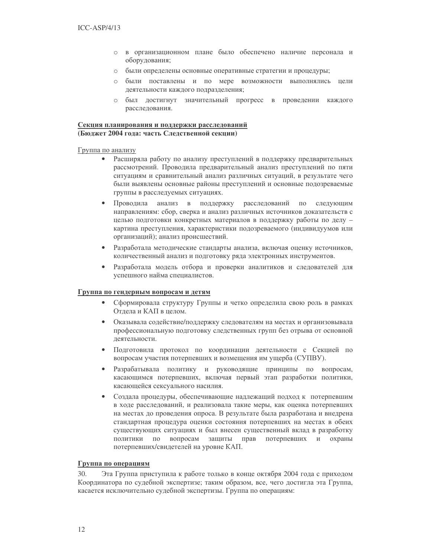- о в организационном плане было обеспечено наличие персонала и оборудования;
- были определены основные оперативные стратегии и процедуры;  $\circ$
- были поставлены и по мере возможности выполнялись цели  $\circ$ деятельности каждого подразделения;
- о был достигнут значительный прогресс в проведении каждого расследования.

# Секция планирования и поддержки расследований (Бюджет 2004 года: часть Следственной секции)

# Группа по анализу

- $\bullet$ Расширяла работу по анализу преступлений в поддержку предварительных рассмотрений. Проводила предварительный анализ преступлений по пяти ситуациям и сравнительный анализ различных ситуаций, в результате чего были выявлены основные районы преступлений и основные подозреваемые группы в расследуемых ситуациях.
- Проводила анализ в поддержку расследований по следующим  $\bullet$ направлениям: сбор, сверка и анализ различных источников доказательств с целью подготовки конкретных материалов в поддержку работы по делу картина преступления, характеристики подозреваемого (индивидуумов или организаций); анализ происшествий.
- $\bullet$ Разработала методические стандарты анализа, включая оценку источников, количественный анализ и подготовку ряда электронных инструментов.
- Разработала модель отбора и проверки аналитиков и следователей для  $\bullet$ успешного найма специалистов.

# Группа по гендерным вопросам и детям

- Сформировала структуру Группы и четко определила свою роль в рамках Отдела и КАП в целом.
- $\bullet$ Оказывала содействие/поддержку следователям на местах и организовывала профессиональную подготовку следственных групп без отрыва от основной леятельности.
- $\bullet$ Подготовила протокол по координации деятельности с Секцией по вопросам участия потерпевших и возмещения им ущерба (СУПВУ).
- Разрабатывала политику и руководящие принципы по вопросам,  $\bullet$ касающимся потерпевших, включая первый этап разработки политики, касающейся сексуального насилия.
- $\bullet$ Создала процедуры, обеспечивающие надлежащий подход к потерпевшим в ходе расследований, и реализовала такие меры, как оценка потерпевших на местах до проведения опроса. В результате была разработана и внедрена стандартная процедура оценки состояния потерпевших на местах в обеих существующих ситуациях и был внесен существенный вклад в разработку политики по вопросам защиты прав потерпевших и охраны потерпевших/свидетелей на уровне КАП.

#### Группа по операциям

 $30.$ Эта Группа приступила к работе только в конце октября 2004 года с приходом Координатора по судебной экспертизе; таким образом, все, чего достигла эта Группа, касается исключительно судебной экспертизы. Группа по операциям: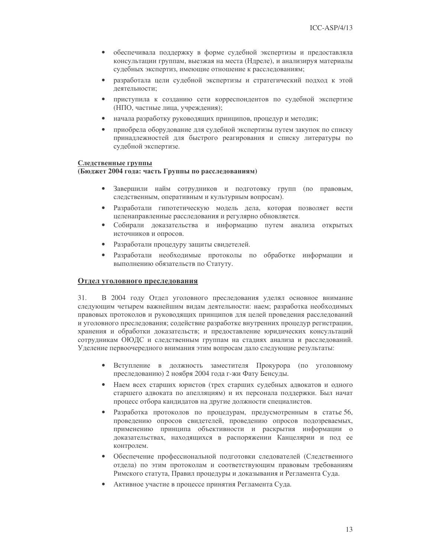- $\bullet$ обеспечивала поддержку в форме судебной экспертизы и предоставляла консультации группам, выезжая на места (Ндреле), и анализируя материалы судебных экспертиз, имеющие отношение к расследованиям;
- разработала цели судебной экспертизы и стратегический подход к этой деятельности;
- $\bullet$ приступила к созданию сети корреспондентов по судебной экспертизе (НПО, частные лица, учреждения);
- начала разработку руководящих принципов, процедур и методик;  $\bullet$
- приобрела оборудование для судебной экспертизы путем закупок по списку  $\bullet$ принадлежностей для быстрого реагирования и списку литературы по судебной экспертизе.

#### Следственные группы

#### (Бюджет 2004 года: часть Группы по расследованиям)

- $\bullet$ Завершили найм сотрудников и подготовку групп (по правовым, следственным, оперативным и культурным вопросам).
- $\bullet$ Разработали гипотетическую модель дела, которая позволяет вести целенаправленные расследования и регулярно обновляется.
- Собирали доказательства и информацию путем анализа открытых  $\bullet$ источников и опросов.
- $\bullet$ Разработали процедуру защиты свидетелей.
- Разработали необходимые протоколы по обработке информации и  $\bullet$ выполнению обязательств по Статуту.

#### Отдел уголовного преследования

31. В 2004 году Отдел уголовного преследования уделял основное внимание следующим четырем важнейшим видам деятельности: наем; разработка необходимых правовых протоколов и руководящих принципов для целей проведения расследований и уголовного преследования; содействие разработке внутренних процедур регистрации, хранения и обработки доказательств; и предоставление юридических консультаций сотрудникам ОЮДС и следственным группам на стадиях анализа и расследований. Уделение первоочередного внимания этим вопросам дало следующие результаты:

- Вступление в должность заместителя Прокурора (по уголовному преследованию) 2 ноября 2004 года г-жи Фату Бенсуды.
- Наем всех старших юристов (трех старших судебных адвокатов и одного  $\bullet$ старшего адвоката по апелляциям) и их персонала поддержки. Был начат процесс отбора кандидатов на другие должности специалистов.
- $\bullet$ Разработка протоколов по процедурам, предусмотренным в статье 56, проведению опросов свидетелей, проведению опросов подозреваемых, применению принципа объективности и раскрытия информации о доказательствах, находящихся в распоряжении Канцелярии и под ее контролем.
- Обеспечение профессиональной подготовки следователей (Следственного  $\bullet$ отдела) по этим протоколам и соответствующим правовым требованиям Римского статута, Правил процедуры и доказывания и Регламента Суда.
- Активное участие в процессе принятия Регламента Суда.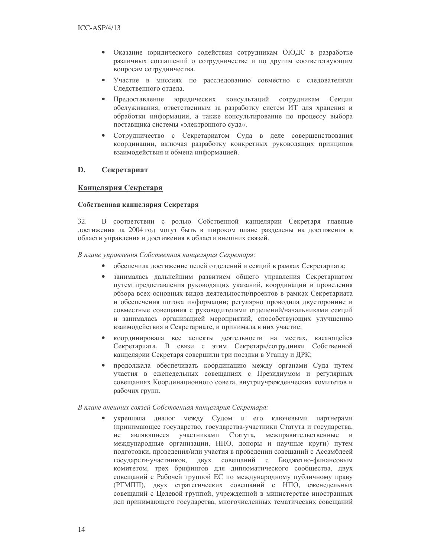- Оказание юридического содействия сотрудникам ОЮДС в разработке  $\bullet$ различных соглашений о сотрудничестве и по другим соответствующим вопросам сотрудничества.
- $\bullet$ Участие в миссиях по расследованию совместно с следователями Следственного отдела.
- $\bullet$ Предоставление юридических консультаций сотрудникам Секции обслуживания, ответственным за разработку систем ИТ для хранения и обработки информации, а также консультирование по процессу выбора поставщика системы «электронного суда».
- Сотрудничество с Секретариатом Суда в деле совершенствования  $\bullet$ координации, включая разработку конкретных руководящих принципов взаимодействия и обмена информацией.

#### D. Секретариат

# Канцелярия Секретаря

# Собственная канцелярия Секретаря

32. В соответствии с ролью Собственной канцелярии Секретаря главные достижения за 2004 год могут быть в широком плане разделены на достижения в области управления и достижения в области внешних связей.

В плане управления Собственная канцелярия Секретаря:

- $\bullet$ обеспечила достижение целей отделений и секций в рамках Секретариата;
- занималась дальнейшим развитием общего управления Секретариатом  $\bullet$ путем предоставления руководящих указаний, координации и проведения обзора всех основных видов деятельности/проектов в рамках Секретариата и обеспечения потока информации; регулярно проводила двусторонние и совместные совещания с руководителями отделений/начальниками секций и занималась организацией мероприятий, способствующих улучшению взаимодействия в Секретариате, и принимала в них участие;
- координировала все аспекты деятельности на местах, касающейся  $\bullet$ Секретариата. В связи с этим Секретарь/сотрудники Собственной канцелярии Секретаря совершили три поездки в Уганду и ДРК;
- продолжала обеспечивать координацию между органами Суда путем  $\bullet$ участия в еженедельных совещаниях с Президиумом и регулярных совещаниях Координационного совета, внутриучрежденческих комитетов и рабочих групп.

#### В плане внешних связей Собственная канцелярия Секретаря:

укрепляла диалог между Судом и его ключевыми партнерами (принимающее государство, государства-участники Статута и государства, He являющиеся участниками Статута, межправительственные и международные организации, НПО, доноры и научные круги) путем подготовки, проведения/или участия в проведении совещаний с Ассамблеей государств-участников, двух совещаний с Бюджетно-финансовым комитетом, трех брифингов для дипломатического сообщества, двух совещаний с Рабочей группой ЕС по международному публичному праву (РГМПП), двух стратегических совещаний с НПО, еженедельных совещаний с Целевой группой, учрежденной в министерстве иностранных дел принимающего государства, многочисленных тематических совещаний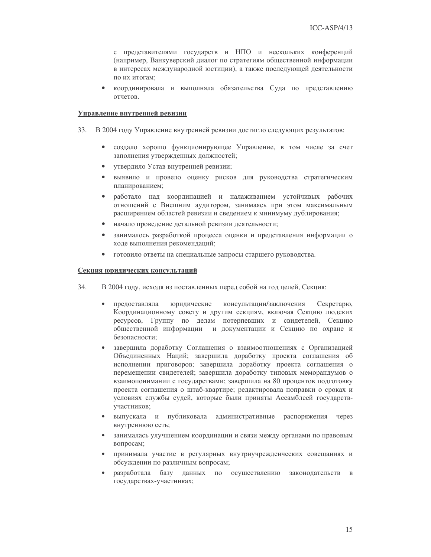с представителями государств и НПО и нескольких конференций (например, Ванкуверский диалог по стратегиям общественной информации в интересах международной юстиции), а также последующей деятельности по их итогам;

 $\bullet$ координировала и выполняла обязательства Суда по представлению отчетов.

#### Управление внутренней ревизии

- 33. В 2004 году Управление внутренней ревизии достигло следующих результатов:
	- создало хорошо функционирующее Управление, в том числе за счет заполнения утвержденных должностей;
	- $\bullet$ утвердило Устав внутренней ревизии;
	- выявило и провело оценку рисков для руководства стратегическим  $\bullet$ планированием;
	- работало над координацией и налаживанием устойчивых рабочих  $\bullet$ отношений с Внешним аудитором, занимаясь при этом максимальным расширением областей ревизии и сведением к минимуму дублирования;
	- начало проведение детальной ревизии деятельности;  $\bullet$
	- занималось разработкой процесса оценки и представления информации о  $\bullet$ ходе выполнения рекомендаций;
	- готовило ответы на специальные запросы старшего руководства.  $\bullet$

#### Секция юридических консультаций

- 34. В 2004 году, исходя из поставленных перед собой на год целей, Секция:
	- предоставляла юридические консультации/заключения  $\bullet$ Секретарю, Координационному совету и другим секциям, включая Секцию людских ресурсов, Группу по делам потерпевших и свидетелей, Секцию общественной информации и документации и Секцию по охране и безопасности;
	- завершила доработку Соглашения о взаимоотношениях с Организацией Объединенных Наций; завершила доработку проекта соглашения об исполнении приговоров; завершила доработку проекта соглашения о перемещении свидетелей; завершила доработку типовых меморандумов о взаимопонимании с государствами; завершила на 80 процентов подготовку проекта соглашения о штаб-квартире; редактировала поправки о сроках и условиях службы судей, которые были приняты Ассамблеей государствучастников;
	- выпускала и публиковала административные распоряжения через внутреннюю сеть;
	- занималась улучшением координации и связи между органами по правовым  $\bullet$ вопросам;
	- принимала участие в регулярных внутриучрежденческих совещаниях и обсуждении по различным вопросам;
	- разработала базу данных по осуществлению законодательств в  $\bullet$ государствах-участниках;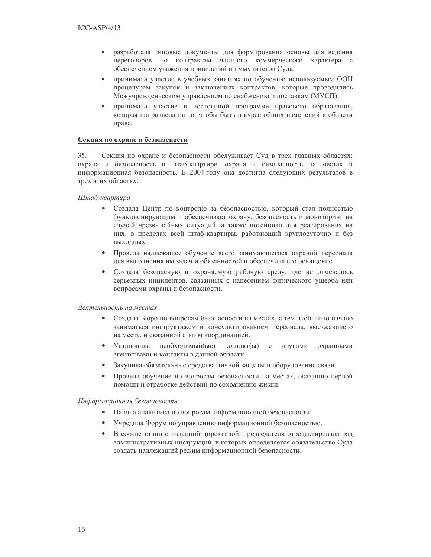- $\bullet$ разработала типовые документы для формирования основы для ведения переговоров по контрактам частного коммерческого характера с обеспечением уважения привилегий и иммунитетов Суда;
- $\bullet$ принимала участие в учебных занятиях по обучению используемым ООН процедурам закупок и заключениях контрактов, которые проводились Межучрежденческим управлением по снабжению и поставкам (МУСП);
- принимала участие в постоянной программе правового образования,  $\bullet$ которая направлена на то, чтобы быть в курсе общих изменений в области права.

## Секция по охране и безопасности

35. Секция по охране и безопасности обслуживает Суд в трех главных областях: охрана и безопасность в штаб-квартире, охрана и безопасность на местах и информационная безопасность. В 2004 году она достигла следующих результатов в трех этих областях:

### Штаб-квартира

- $\bullet$ Создала Центр по контролю за безопасностью, который стал полностью функционирующим и обеспечивает охрану, безопасность и мониторинг на случай чрезвычайных ситуаций, а также потенциал для реагирования на них, в пределах всей штаб-квартиры, работающий круглосуточно и без выходных.
- Провела надлежащее обучение всего занимающегося охраной персонала для выполнения им задач и обязанностей и обеспечила его оснащение.
- Создала безопасную и охраняемую рабочую среду, где не отмечалось  $\bullet$ серьезных инцидентов, связанных с нанесением физического ущерба или вопросами охраны и безопасности.

#### Деятельность на местах

- Создала Бюро по вопросам безопасности на местах, с тем чтобы оно начало заниматься инструктажем и консультированием персонала, выезжающего на места, и связанной с этим координацией.
- $\bullet$ Установила необхолимый(ые)  $KOHTAKT(H)$   $C$ другими охранными агентствами и контакты в данной области.
- Закупила обязательные средства личной защиты и оборудование связи.  $\bullet$
- Провела обучение по вопросам безопасности на местах, оказанию первой  $\bullet$ помощи и отработке действий по сохранению жизни.

# Информационная безопасность

- Наняла аналитика по вопросам информационной безопасности.
- Учредила Форум по управлению информационной безопасностью.  $\bullet$
- В соответствии с изданной директивой Председателя отредактировала ряд  $\bullet$ административных инструкций, в которых определяется обязательство Суда создать надлежащий режим информационной безопасности.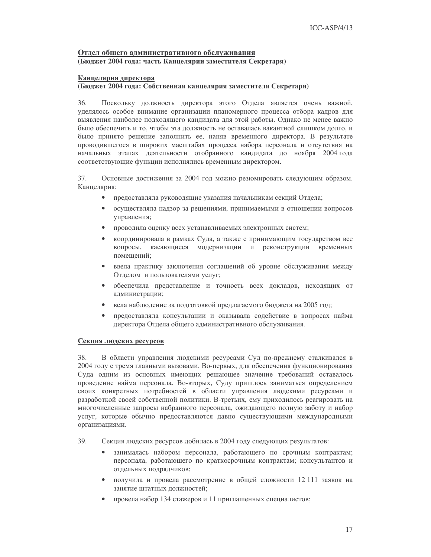# Отдел общего административного обслуживания (Бюджет 2004 года: часть Канцелярии заместителя Секретаря)

### Канцелярия директора

## (Бюджет 2004 года: Собственная канцелярия заместителя Секретаря)

36. Поскольку должность директора этого Отдела является очень важной, уделялось особое внимание организации планомерного процесса отбора кадров для выявления наиболее подходящего кандидата для этой работы. Однако не менее важно было обеспечить и то, чтобы эта должность не оставалась вакантной слишком долго, и было принято решение заполнить ее, наняв временного директора. В результате проводившегося в широких масштабах процесса набора персонала и отсутствия на начальных этапах деятельности отобранного кандидата до ноября 2004 года соответствующие функции исполнялись временным директором.

37. Основные достижения за 2004 год можно резюмировать следующим образом. Канцелярия:

- $\bullet$ предоставляла руководящие указания начальникам секций Отдела;
- $\bullet$ осуществляла надзор за решениями, принимаемыми в отношении вопросов управления;
- проводила оценку всех устанавливаемых электронных систем;  $\bullet$
- координировала в рамках Суда, а также с принимающим государством все  $\bullet$ вопросы, касающиеся модернизации и реконструкции временных помещений;
- $\bullet$ ввела практику заключения соглашений об уровне обслуживания между Отделом и пользователями услуг;
- $\bullet$ обеспечила представление и точность всех докладов, исходящих от администрации;
- вела наблюдение за подготовкой предлагаемого бюджета на 2005 год;
- предоставляла консультации и оказывала содействие в вопросах найма директора Отдела общего административного обслуживания.

#### Секция людских ресурсов

38. В области управления людскими ресурсами Суд по-прежнему сталкивался в 2004 году с тремя главными вызовами. Во-первых, для обеспечения функционирования Суда одним из основных имеющих решающее значение требований оставалось проведение найма персонала. Во-вторых, Суду пришлось заниматься определением своих конкретных потребностей в области управления людскими ресурсами и разработкой своей собственной политики. В-третьих, ему приходилось реагировать на многочисленные запросы набранного персонала, ожидающего полную заботу и набор услуг, которые обычно предоставляются давно существующими международными организациями.

- 39. Секция людских ресурсов добилась в 2004 году следующих результатов:
	- занималась набором персонала, работающего по срочным контрактам;  $\bullet$ персонала, работающего по краткосрочным контрактам; консультантов и отдельных подрядчиков;
	- $\bullet$ получила и провела рассмотрение в общей сложности 12 111 заявок на занятие штатных должностей;
	- провела набор 134 стажеров и 11 приглашенных специалистов;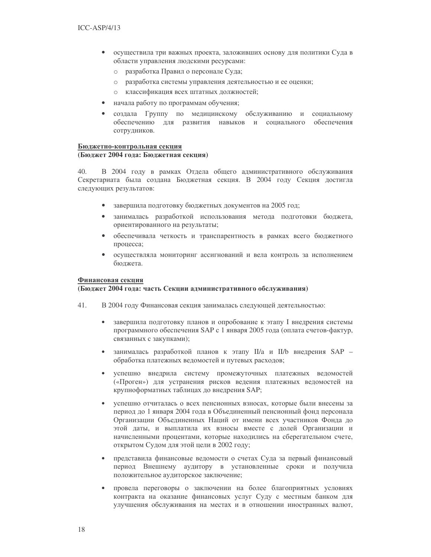- осуществила три важных проекта, заложивших основу для политики Суда в  $\bullet$ области управления людскими ресурсами:
	- разработка Правил о персонале Суда;  $\circ$
	- разработка системы управления деятельностью и ее оценки;  $\circ$
	- $\circ$ классификация всех штатных должностей;
- начала работу по программам обучения;
- создала Группу по медицинскому обслуживанию и социальному обеспечению для развития навыков и социального обеспечения сотрудников.

# Бюджетно-контрольная секция

# (Бюджет 2004 года: Бюджетная секция)

 $40.$ В 2004 году в рамках Отдела общего административного обслуживания Секретариата была создана Бюджетная секция. В 2004 году Секция достигла следующих результатов:

- завершила подготовку бюджетных документов на 2005 год;  $\bullet$
- занималась разработкой использования метода подготовки бюджета,  $\bullet$ ориентированного на результаты;
- обеспечивала четкость и транспарентность в рамках всего бюджетного  $\bullet$ процесса;
- осуществляла мониторинг ассигнований и вела контроль за исполнением  $\bullet$ бюджета.

#### Финансовая секция

# (Бюджет 2004 года: часть Секции административного обслуживания)

- $41.$ В 2004 году Финансовая секция занималась следующей деятельностью:
	- завершила подготовку планов и опробование к этапу I внедрения системы программного обеспечения SAP с 1 января 2005 года (оплата счетов-фактур, связанных с закупками);
	- занималась разработкой планов к этапу II/а и II/b внедрения SAP обработка платежных ведомостей и путевых расходов;
	- успешно внедрила систему промежуточных платежных ведомостей  $\bullet$ («Проген») для устранения рисков ведения платежных ведомостей на крупноформатных таблицах до внедрения SAP;
	- успешно отчиталась о всех пенсионных взносах, которые были внесены за период до 1 января 2004 года в Объединенный пенсионный фонд персонала Организации Объединенных Наций от имени всех участников Фонда до этой даты, и выплатила их взносы вместе с долей Организации и начисленными процентами, которые находились на сберегательном счете, открытом Судом для этой цели в 2002 году;
	- $\bullet$ представила финансовые ведомости о счетах Суда за первый финансовый период Внешнему аудитору в установленные сроки и получила положительное аудиторское заключение;
	- провела переговоры о заключении на более благоприятных условиях контракта на оказание финансовых услуг Суду с местным банком для улучшения обслуживания на местах и в отношении иностранных валют,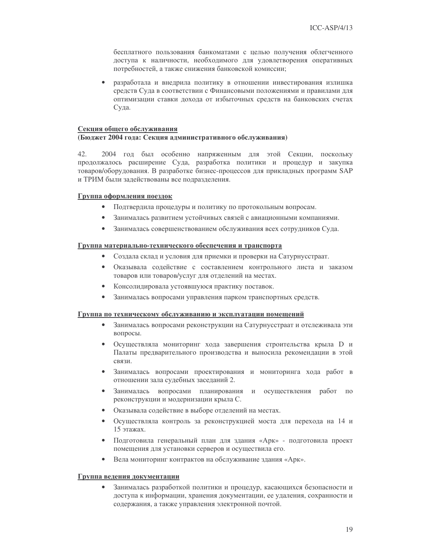бесплатного пользования банкоматами с целью получения облегченного доступа к наличности, необходимого для удовлетворения оперативных потребностей, а также снижения банковской комиссии;

разработала и внедрила политику в отношении инвестирования излишка средств Суда в соответствии с Финансовыми положениями и правилами для оптимизации ставки дохода от избыточных средств на банковских счетах Суда.

#### Секция общего обслуживания

#### (Бюджет 2004 года: Секция административного обслуживания)

42. 2004 год был особенно напряженным для этой Секции, поскольку продолжалось расширение Суда, разработка политики и процедур и закупка товаров/оборудования. В разработке бизнес-процессов для прикладных программ SAP и ТРИМ были задействованы все подразделения.

#### Группа оформления поездок

- $\bullet$ Подтвердила процедуры и политику по протокольным вопросам.
- Занималась развитием устойчивых связей с авиационными компаниями.
- Занималась совершенствованием обслуживания всех сотрудников Суда.

#### Группа материально-технического обеспечения и транспорта

- Создала склад и условия для приемки и проверки на Сатурнусстраат.
- Оказывала содействие с составлением контрольного листа и заказом  $\bullet$ товаров или товаров/услуг для отделений на местах.
- $\bullet$ Консолидировала устоявшуюся практику поставок.
- Занималась вопросами управления парком транспортных средств.

#### Группа по техническому обслуживанию и эксплуатации помещений

- Занималась вопросами реконструкции на Сатурнусстраат и отслеживала эти  $\bullet$ вопросы.
- Осуществляла мониторинг хода завершения строительства крыла D и  $\bullet$ Палаты предварительного производства и выносила рекомендации в этой связи.
- Занималась вопросами проектирования и мониторинга хода работ в отношении зала судебных заседаний 2.
- Занималась вопросами планирования и осуществления работ  $\bullet$  $\Pi 0$ реконструкции и модернизации крыла С.
- Оказывала содействие в выборе отделений на местах.
- $\bullet$ Осуществляла контроль за реконструкцией моста для перехода на 14 и 15 этажах.
- $\bullet$ Подготовила генеральный план для здания «Арк» - подготовила проект помещения для установки серверов и осуществила его.
- Вела мониторинг контрактов на обслуживание здания «Арк».  $\bullet$

#### Группа ведения документации

 $\bullet$ Занималась разработкой политики и процедур, касающихся безопасности и доступа к информации, хранения документации, ее удаления, сохранности и содержания, а также управления электронной почтой.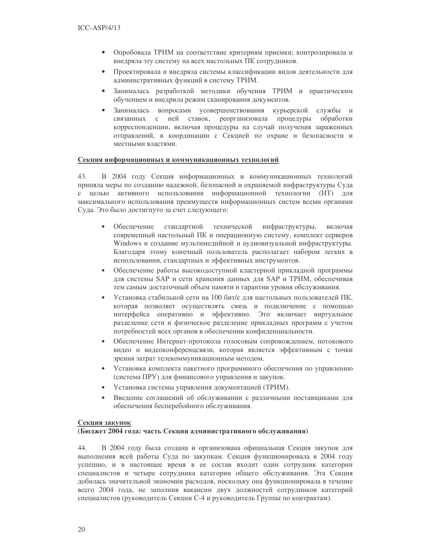- $\bullet$ Опробовала ТРИМ на соответствие критериям приемки; контролировала и внедряла эту систему на всех настольных ПК сотрудников.
- Проектировала и внедряла системы классификации видов деятельности для  $\bullet$ административных функций в систему ТРИМ.
- Занималась разработкой методики обучения ТРИМ и практическим  $\bullet$ обучением и внедрила режим сканирования документов.
- Занималась вопросами усовершенствования курьерской службы и  $\bullet$ связанных с ней ставок, реорганизовала процедуры обработки корреспонденции, включая процедуры на случай получения зараженных отправлений, в координации с Секцией по охране и безопасности и местными властями.

### Секция информационных и коммуникационных технологий

43. В 2004 году Секция информационных и коммуникационных технологий приняла меры по созданию надежной, безопасной и охраняемой инфраструктуры Суда с целью активного использования информационной технологии (ИТ) для максимального использования преимуществ информационных систем всеми органами Суда. Это было достигнуто за счет следующего:

- $\bullet$ Обеспечение станлартной технической инфраструктуры, **ВКЛЮЧАЯ** современный настольный ПК и операционную систему, комплект серверов Windows и создание мультимедийной и аудиовизуальной инфраструктуры. Благодаря этому конечный пользователь располагает набором легких в использовании, стандартных и эффективных инструментов.
- Обеспечение работы высокодоступной кластерной прикладной программы  $\blacksquare$ для системы SAP и сети хранения данных для SAP и ТРИМ, обеспечивая тем самым достаточный объем памяти и гарантии уровня обслуживания.
- Установка стабильной сети на 100 бит/с для настольных пользователей ПК, которая позволяет осуществлять связь и подключение с помощью интерфейса оперативно и эффективно. Это включает виртуальное разделение сети и физическое разделение прикладных программ с учетом потребностей всех органов в обеспечении конфиденциальности.
- Обеспечение Интернет-протокола голосовым сопровождением, потокового видео и видеоконференцсвязи, которая является эффективным с точки зрения затрат телекоммуникационным методом.
- Установка комплекта пакетного программного обеспечения по управлению  $\bullet$ (система ПРУ) для финансового управления и закупок.
- Установка системы управления документацией (ТРИМ).  $\bullet$
- $\bullet$ Введение соглашений об обслуживании с различными поставщиками для обеспечения бесперебойного обслуживания.

### Секция закупок

### (Бюджет 2004 года: часть Секции административного обслуживания)

44. В 2004 году была создана и организована официальная Секция закупок для выполнения всей работы Суда по закупкам. Секция функционировала в 2004 году успешно, и в настоящее время в ее состав входит один сотрудник категории специалистов и четыре сотрудника категории общего обслуживания. Эта Секция добилась значительной экономии расходов, поскольку она функционировала в течение всего 2004 года, не заполнив вакансии двух должностей сотрудников категорий специалистов (руководитель Секции С-4 и руководитель Группы по контрактам).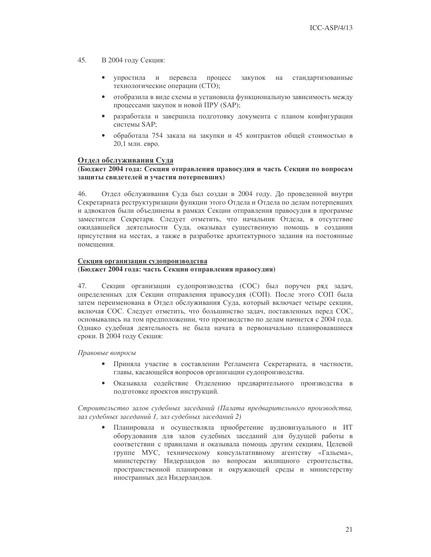- $45.$ В 2004 году Секция:
	- упростила и перевела процесс закупок на стандартизованные технологические операции (СТО);
	- отобразила в виде схемы и установила функциональную зависимость между процессами закупок и новой ПРУ (SAP);
	- разработала и завершила подготовку документа с планом конфигурации  $\bullet$ системы SAP:
	- обработала 754 заказа на закупки и 45 контрактов общей стоимостью в  $\bullet$ 20,1 млн. евро.

# Отдел обслуживания Суда

### (Бюджет 2004 года: Секция отправления правосудия и часть Секции по вопросам защиты свидетелей и участия потерпевших)

46 Отдел обслуживания Суда был создан в 2004 году. До проведенной внутри Секретариата реструктуризации функции этого Отдела и Отдела по делам потерпевших и адвокатов были объединены в рамках Секции отправления правосудия в программе заместителя Секретаря. Следует отметить, что начальник Отдела, в отсутствие ожидавшейся деятельности Суда, оказывал существенную помощь в создании присутствия на местах, а также в разработке архитектурного задания на постоянные помещения.

# Секция организации судопроизводства

### (Бюджет 2004 года: часть Секции отправления правосудия)

47. Секции организации судопроизводства (СОС) был поручен ряд задач, определенных для Секции отправления правосудия (СОП). После этого СОП была затем переименована в Отдел обслуживания Суда, который включает четыре секции, включая СОС. Следует отметить, что большинство задач, поставленных перед СОС, основывались на том предположении, что производство по делам начнется с 2004 года. Однако судебная деятельность не была начата в первоначально планировавшиеся сроки. В 2004 году Секция:

Правовые вопросы

- Приняла участие в составлении Регламента Секретариата, в частности, главы, касающейся вопросов организации судопроизводства.
- $\bullet$ Оказывала содействие Отделению предварительного производства в подготовке проектов инструкций.

Строительство залов судебных заседаний (Палата предварительного производства, зал судебных заседаний 1, зал судебных заседаний 2)

 $\bullet$ Планировала и осуществляла приобретение аудиовизуального и ИТ оборудования для залов судебных заседаний для будущей работы в соответствии с правилами и оказывала помощь другим секциям, Целевой группе МУС, техническому консультативному агентству «Гальема», министерству Нидерландов по вопросам жилищного строительства, пространственной планировки и окружающей среды и министерству иностранных дел Нидерландов.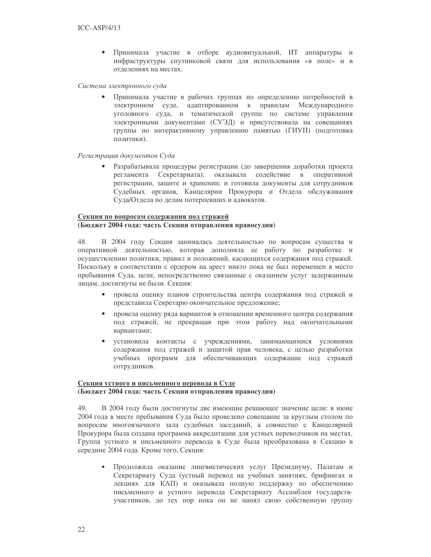$\bullet$ Принимала участие в отборе аудиовизуальной, ИТ аппаратуры и инфраструктуры спутниковой связи для использования «в поле» и в отлелениях на местах.

Система электронного суда

Принимала участие в рабочих группах по определению потребностей в электронном суде, адаптированном к правилам Международного уголовного суда, и тематической группе по системе управления электронными документами (СУЭД) и присутствовала на совещаниях группы по интерактивному управлению памятью (ГИУП) (подготовка политики).

#### Регистрация документов Суда

Разрабатывала процедуры регистрации (до завершения доработки проекта регламента Секретариата); оказывала содействие в оперативной регистрации, защите и хранении; и готовила документы для сотрудников Судебных органов, Канцелярии Прокурора и Отдела обслуживания Суда/Отдела по делам потерпевших и адвокатов.

## Секция по вопросам содержания под стражей (Бюджет 2004 года: часть Секции отправления правосудия)

В 2004 году Секция занималась деятельностью по вопросам существа и 48. оперативной деятельностью, которая дополняла ее работу по разработке и осуществлению политики, правил и положений, касающихся содержания под стражей. Поскольку в соответствии с ордером на арест никто пока не был перемещен в место пребывания Суда, цели, непосредственно связанные с оказанием услуг задержанным лицам, достигнуты не были. Секция:

- провела оценку планов строительства центра содержания под стражей и  $\bullet$ представила Секретарю окончательное предложение;
- $\bullet$ провела оценку ряда вариантов в отношении временного центра содержания под стражей, не прекращая при этом работу над окончательными вариантами:
- установила контакты с учреждениями, занимающимися условиями содержания под стражей и защитой прав человека, с целью разработки учебных программ для обеспечивающих содержание под стражей сотрудников.

# Секция устного и письменного перевода в Суде (Бюджет 2004 года: часть Секции отправления правосудия)

49. В 2004 году были достигнуты две имеющие решающее значение цели: в июне 2004 года в месте пребывания Суда было проведено совещание за круглым столом по вопросам многоязычного зала судебных заседаний, а совместно с Канцелярией Прокурора была создана программа аккредитации для устных переводчиков на местах. Группа устного и письменного перевода в Суде была преобразована в Секцию в середине 2004 года. Кроме того, Секция:

Продолжила оказание лингвистических услуг Президиуму, Палатам и  $\bullet$ Секретариату Суда (устный перевод на учебных занятиях, брифингах и лекциях для КАП) и оказывала полную поддержку по обеспечению письменного и устного перевода Секретариату Ассамблеи государствучастников, до тех пор пока он не нанял свою собственную группу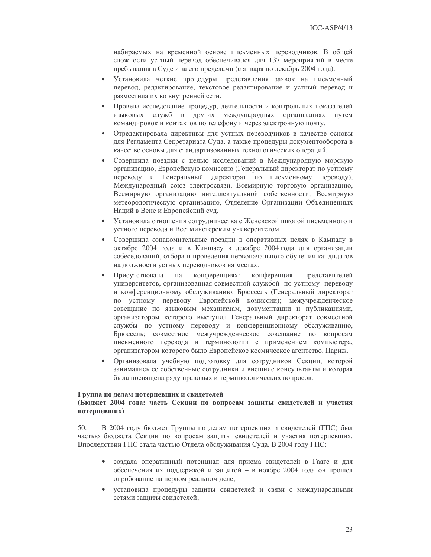набираемых на временной основе письменных переводчиков. В общей сложности устный перевод обеспечивался для 137 мероприятий в месте пребывания в Суде и за его пределами (с января по декабрь 2004 года).

- $\bullet$ Установила четкие процедуры представления заявок на письменный перевод, редактирование, текстовое редактирование и устный перевод и разместила их во внутренней сети.
- $\bullet$ Провела исследование процедур, деятельности и контрольных показателей языковых служб в других международных организациях путем командировок и контактов по телефону и через электронную почту.
- Отредактировала директивы для устных переводчиков в качестве основы  $\bullet$ для Регламента Секретариата Суда, а также процедуры документооборота в качестве основы для стандартизованных технологических операций.
- $\bullet$ Совершила поездки с целью исследований в Международную морскую организацию, Европейскую комиссию (Генеральный директорат по устному переводу и Генеральный директорат по письменному переводу), Международный союз электросвязи, Всемирную торговую организацию, Всемирную организацию интеллектуальной собственности, Всемирную метеорологическую организацию, Отделение Организации Объединенных Наций в Вене и Европейский суд.
- Установила отношения сотрудничества с Женевской школой письменного и  $\bullet$ устного перевода и Вестминстерским университетом.
- $\bullet$ Совершила ознакомительные поездки в оперативных целях в Кампалу в октябре 2004 года и в Киншасу в декабре 2004 года для организации собеседований, отбора и проведения первоначального обучения кандидатов на должности устных переводчиков на местах.
- Присутствовала конференциях: конференция представителей на университетов, организованная совместной службой по устному переводу и конференционному обслуживанию, Брюссель (Генеральный директорат по устному переводу Европейской комиссии); межучрежденческое совещание по языковым механизмам, документации и публикациями, организатором которого выступил Генеральный директорат совместной службы по устному переводу и конференционному обслуживанию, Брюссель; совместное межучрежденческое совещание по вопросам письменного перевода и терминологии с применением компьютера, организатором которого было Европейское космическое агентство, Париж.
- $\bullet$ Организовала учебную подготовку для сотрудников Секции, которой занимались ее собственные сотрудники и внешние консультанты и которая была посвящена ряду правовых и терминологических вопросов.

#### Группа по делам потерпевших и свидетелей

## (Бюджет 2004 года: часть Секции по вопросам защиты свидетелей и участия потерпевших)

В 2004 году бюджет Группы по делам потерпевших и свидетелей (ГПС) был 50. частью бюджета Секции по вопросам защиты свидетелей и участия потерпевших. Впоследствии ГПС стала частью Отдела обслуживания Суда. В 2004 году ГПС:

- создала оперативный потенциал для приема свидетелей в Гааге и для  $\bullet$ обеспечения их поддержкой и защитой - в ноябре 2004 года он прошел опробование на первом реальном деле;
- установила процедуры защиты свидетелей и связи с международными сетями зашиты свидетелей: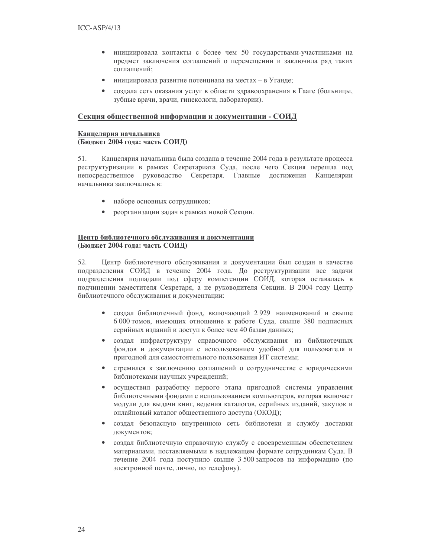- инициировала контакты с более чем 50 государствами-участниками на  $\bullet$ предмет заключения соглашений о перемещении и заключила ряд таких соглашений;
- $\bullet$ инициировала развитие потенциала на местах - в Уганде;
- создала сеть оказания услуг в области здравоохранения в Гааге (больницы, зубные врачи, врачи, гинекологи, лаборатории).

### Секция общественной информации и документации - СОИД

# Канцелярия начальника (Бюджет 2004 года: часть СОИД)

Канцелярия начальника была создана в течение 2004 года в результате процесса  $51.$ реструктуризации в рамках Секретариата Суда, после чего Секция перешла под непосредственное руководство Секретаря. Главные достижения Канцелярии начальника заключались в:

- наборе основных сотрудников;
- реорганизации задач в рамках новой Секции.

## Центр библиотечного обслуживания и документации (Бюлжет 2004 года: часть СОИД)

52. Центр библиотечного обслуживания и документации был создан в качестве подразделения СОИД в течение 2004 года. До реструктуризации все задачи подразделения подпадали под сферу компетенции СОИД, которая оставалась в подчинении заместителя Секретаря, а не руководителя Секции. В 2004 году Центр библиотечного обслуживания и документации:

- создал библиотечный фонд, включающий 2929 наименований и свыше  $\bullet$ 6 000 томов, имеющих отношение к работе Суда, свыше 380 подписных серийных изданий и доступ к более чем 40 базам данных;
- создал инфраструктуру справочного обслуживания из библиотечных  $\bullet$ фондов и документации с использованием удобной для пользователя и пригодной для самостоятельного пользования ИТ системы;
- стремился к заключению соглашений о сотрудничестве с юридическими  $\bullet$ библиотеками научных учреждений;
- осуществил разработку первого этапа пригодной системы управления  $\bullet$ библиотечными фондами с использованием компьютеров, которая включает модули для выдачи книг, ведения каталогов, серийных изданий, закупок и онлайновый каталог общественного доступа (ОКОД);
- создал безопасную внутреннюю сеть библиотеки и службу доставки документов;
- создал библиотечную справочную службу с своевременным обеспечением  $\bullet$ материалами, поставляемыми в надлежащем формате сотрудникам Суда. В течение 2004 года поступило свыше 3 500 запросов на информацию (по электронной почте, лично, по телефону).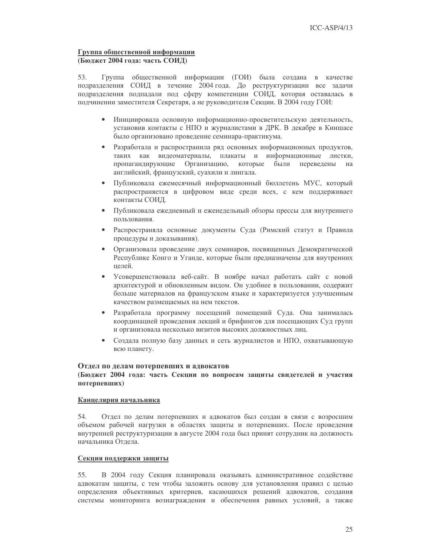#### Группа общественной информации (Бюджет 2004 года: часть СОИД)

Группа общественной информации (ГОИ) была создана в качестве 53. подразделения СОИД в течение 2004 года. До реструктуризации все задачи подразделения подпадали под сферу компетенции СОИД, которая оставалась в подчинении заместителя Секретаря, а не руководителя Секции. В 2004 году ГОИ:

- Инициировала основную информационно-просветительскую деятельность,  $\bullet$ установив контакты с НПО и журналистами в ДРК. В декабре в Киншасе было организовано проведение семинара-практикума.
- Разработала и распространила ряд основных информационных продуктов, таких как видеоматериалы, плакаты и информационные листки, пропагандирующие Организацию, которые были переведены на английский, французский, суахили и лингала.
- Публиковала ежемесячный информационный бюллетень МУС, который  $\bullet$ распространяется в цифровом виде среди всех, с кем поддерживает контакты СОИД.
- $\bullet$ Публиковала ежедневный и еженедельный обзоры прессы для внутреннего пользования.
- Распространяла основные документы Суда (Римский статут и Правила  $\bullet$ процедуры и доказывания).
- Организовала проведение двух семинаров, посвященных Демократической  $\bullet$ Республике Конго и Уганде, которые были предназначены для внутренних целей.
- $\bullet$ Усовершенствовала веб-сайт. В ноябре начал работать сайт с новой архитектурой и обновленным видом. Он удобнее в пользовании, содержит больше материалов на французском языке и характеризуется улучшенным качеством размещаемых на нем текстов.
- Разработала программу посещений помещений Суда. Она занималась  $\bullet$ координацией проведения лекций и брифингов для посещающих Суд групп и организовала несколько визитов высоких должностных лиц.
- Создала полную базу данных и сеть журналистов и НПО, охватывающую  $\bullet$ всю планету.

# Отдел по делам потерпевших и адвокатов

## (Бюджет 2004 года: часть Секции по вопросам защиты свидетелей и участия потерпевших)

#### Канцелярия начальника

54. Отдел по делам потерпевших и адвокатов был создан в связи с возросшим объемом рабочей нагрузки в областях защиты и потерпевших. После проведения внутренней реструктуризации в августе 2004 года был принят сотрудник на должность начальника Отдела.

# Секция поддержки защиты

В 2004 году Секция планировала оказывать административное содействие 55. адвокатам защиты, с тем чтобы заложить основу для установления правил с целью определения объективных критериев, касающихся решений адвокатов, создания системы мониторинга вознаграждения и обеспечения равных условий, а также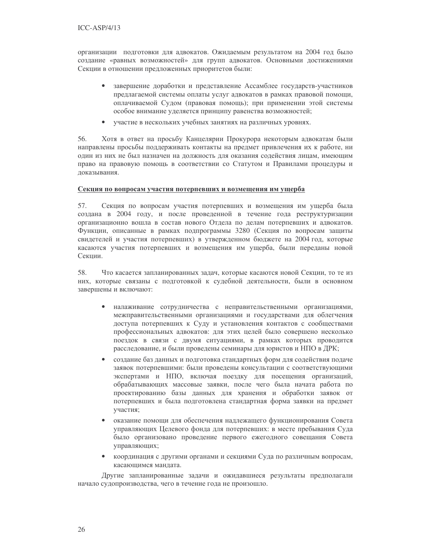организации подготовки для адвокатов. Ожидаемым результатом на 2004 год было создание «равных возможностей» для групп адвокатов. Основными достижениями Секции в отношении предложенных приоритетов были:

- завершение доработки и представление Ассамблее государств-участников предлагаемой системы оплаты услуг адвокатов в рамках правовой помощи, оплачиваемой Судом (правовая помощь); при применении этой системы особое внимание уделяется принципу равенства возможностей;
- $\bullet$ участие в нескольких учебных занятиях на различных уровнях.

56. Хотя в ответ на просьбу Канцелярии Прокурора некоторым адвокатам были направлены просьбы поддерживать контакты на предмет привлечения их к работе, ни один из них не был назначен на должность для оказания содействия лицам, имеющим право на правовую помощь в соответствии со Статутом и Правилами процедуры и доказывания.

# Секция по вопросам участия потерпевших и возмещения им ущерба

57. Секция по вопросам участия потерпевших и возмещения им ущерба была создана в 2004 году, и после проведенной в течение года реструктуризации организационно вошла в состав нового Отдела по делам потерпевших и адвокатов. Функции, описанные в рамках подпрограммы 3280 (Секция по вопросам защиты свидетелей и участия потерпевших) в утвержденном бюджете на 2004 год, которые касаются участия потерпевших и возмещения им ущерба, были переданы новой Секции.

58 Что касается запланированных задач, которые касаются новой Секции, то те из них, которые связаны с подготовкой к судебной деятельности, были в основном завершены и включают:

- налаживание сотрудничества с неправительственными организациями, межправительственными организациями и государствами для облегчения доступа потерпевших к Суду и установления контактов с сообществами профессиональных адвокатов: для этих целей было совершено несколько поездок в связи с двумя ситуациями, в рамках которых проводится расследование, и были проведены семинары для юристов и НПО в ДРК;
- создание баз данных и подготовка стандартных форм для содействия подаче  $\bullet$ заявок потерпевшими: были проведены консультации с соответствующими экспертами и НПО, включая поездку для посещения организаций, обрабатывающих массовые заявки, после чего была начата работа по проектированию базы данных для хранения и обработки заявок от потерпевших и была подготовлена стандартная форма заявки на предмет участия;
- оказание помощи для обеспечения надлежащего функционирования Совета  $\bullet$ управляющих Целевого фонда для потерпевших: в месте пребывания Суда было организовано проведение первого ежегодного совещания Совета управляющих;
- координация с другими органами и секциями Суда по различным вопросам,  $\bullet$ касающимся мандата.

Другие запланированные задачи и ожидавшиеся результаты предполагали начало судопроизводства, чего в течение года не произошло.